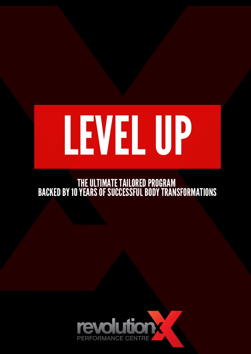# LEVELUP

THE ULTIMATE TAILORED PROGRAM

### BACKED BY 10 YEARS OF SUCCESSFUL BODY TRANSFORMATIONS

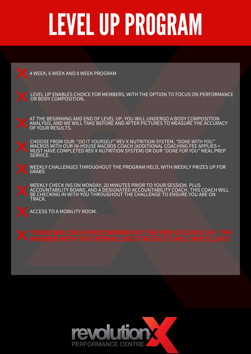### LEVELUPPROGRAM

4 WEEK, 6 WEEK AND 8 WEEK PROGRAM

AT THE BEGINNING AND END OF LEVEL UP, YOU WILL UNDERGO A BODY COMPOSITION ANALYSIS, AND WE WILL TAKE BEFORE AND AFTER PICTURES TO MEASURE THE ACCURACY OF YOUR RESULTS.

LEVEL UP ENABLES CHOICE FOR MEMBERS, WITH THE OPTION TO FOCUS ON PERFORMANCE OR BODY COMPOSITION.

WEEKLY CHALLENGES THROUGHOUT THE PROGRAM HELD, WITH WEEKLY PRIZES UP FOR **GRABS** 



CHOOSE FROM OUR: "*DO IT YOURSELF"* REV X NUTRITION SYSTEM, *"DONE WITH YOU"* MACROS WITH OUR IN-HOUSE MACROS COACH (ADDITIONAL COACHING FEE APPLIES + MUST HAVE COMPLETED REV X NUTRITION SYSTEM) OR OUR *"DONE FOR YOU"* MEAL PREP SERVICE.

WEEKLY CHECK INS ON MONDAY, 20 MINUTES PRIOR TO YOUR SESSION. PLUS ACCOUNTABILITY BOARD, AND A DESIGNATED ACCOUNTABILITY COACH. THIS COACH WILL BE CHECKING IN WITH YOU THROUGHOUT THE CHALLENGE TO ENSURE YOU ARE ON TRACK.



ACCESS TO A MOBILITY ROOM.

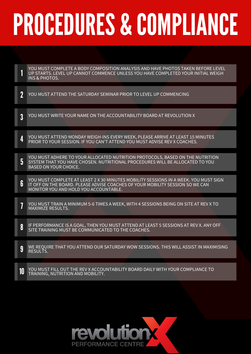## PROCEDURES & COMPLIANCE

1 YOU MUST COMPLETE A BODY COMPOSITION ANALYSIS AND HAVE PHOTOS TAKEN BEFORE LEVEL UP STARTS. LEVEL UP CANNOT COMMENCE UNLESS YOU HAVE COMPLETED YOUR INITIAL WEIGH INS & PHOTOS.

2 YOU MUST ATTEND THE SATURDAY SEMINAR PRIOR TO LEVEL UP COMMENCING

3 YOU MUST WRITE YOUR NAME ON THE ACCOUNTABILITY BOARD AT REVOLUTION X

4 YOU MUST ATTEND MONDAY WEIGH-INS EVERY WEEK, PLEASE ARRIVE AT LEAST 15 MINUTES PRIOR TO YOUR SESSION. IF YOU CAN'T ATTEND YOU MUST ADVISE REV X COACHES.

5 YOU MUST ADHERE TO YOUR ALLOCATED NUTRITION PROTOCOLS, BASED ON THE NUTRITION SYSTEM THAT YOU HAVE CHOSEN. NUTRITIONAL PROCEDURES WILL BE ALLOCATED TO YOU BASED ON YOUR CHOICE.

6 YOU MUST COMPLETE AT LEAST 2 X 30 MINUTES MOBILITY SESSIONS IN A WEEK. YOU MUST SIGN IT OFF ON THE BOARD. PLEASE ADVISE COACHES OF YOUR MOBILITY SESSION SO WE CAN MONITOR YOU AND HOLD YOU ACCOUNTABLE.

7 YOU MUST TRAIN A MINIMUM 5-6 TIMES A WEEK, WITH 4 SESSIONS BEING ON SITE AT REV X TO MAXIMIZE RESULTS.

8 IF PERFORMANCE IS A GOAL, THEN YOU MUST ATTEND AT LEAST 5 SESSIONS AT REV X. ANY OFF SITE TRAINING MUST BE COMMUNICATED TO THE COACHES.

9 WE REQUIRE THAT YOU ATTEND OUR SATURDAY WOW SESSIONS. THIS WILL ASSIST IN MAXIMISING RESULTS.

10 YOU MUST FILL OUT THE REV X ACCOUNTABILITY BOARD DAILY WITH YOUR COMPLIANCE TO TRAINING, NUTRITION AND MOBILITY.